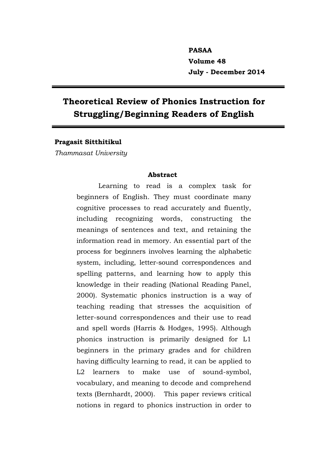**PASAA Volume 48 July - December 2014**

# **Theoretical Review of Phonics Instruction for Struggling/Beginning Readers of English**

### **Pragasit Sitthitikul**

*Thammasat University* 

#### **Abstract**

Learning to read is a complex task for beginners of English. They must coordinate many cognitive processes to read accurately and fluently, including recognizing words, constructing the meanings of sentences and text, and retaining the information read in memory. An essential part of the process for beginners involves learning the alphabetic system, including, letter-sound correspondences and spelling patterns, and learning how to apply this knowledge in their reading (National Reading Panel, 2000). Systematic phonics instruction is a way of teaching reading that stresses the acquisition of letter-sound correspondences and their use to read and spell words (Harris & Hodges, 1995). Although phonics instruction is primarily designed for L1 beginners in the primary grades and for children having difficulty learning to read, it can be applied to L2 learners to make use of sound-symbol, vocabulary, and meaning to decode and comprehend texts (Bernhardt, 2000). This paper reviews critical notions in regard to phonics instruction in order to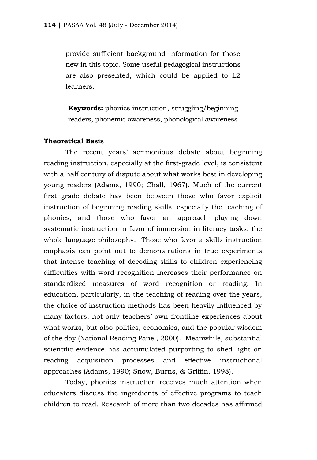provide sufficient background information for those new in this topic. Some useful pedagogical instructions are also presented, which could be applied to L2 learners.

**Keywords:** phonics instruction, struggling/beginning readers, phonemic awareness, phonological awareness

## **Theoretical Basis**

The recent years' acrimonious debate about beginning reading instruction, especially at the first-grade level, is consistent with a half century of dispute about what works best in developing young readers (Adams, 1990; Chall, 1967). Much of the current first grade debate has been between those who favor explicit instruction of beginning reading skills, especially the teaching of phonics, and those who favor an approach playing down systematic instruction in favor of immersion in literacy tasks, the whole language philosophy. Those who favor a skills instruction emphasis can point out to demonstrations in true experiments that intense teaching of decoding skills to children experiencing difficulties with word recognition increases their performance on standardized measures of word recognition or reading. In education, particularly, in the teaching of reading over the years, the choice of instruction methods has been heavily influenced by many factors, not only teachers' own frontline experiences about what works, but also politics, economics, and the popular wisdom of the day (National Reading Panel, 2000). Meanwhile, substantial scientific evidence has accumulated purporting to shed light on reading acquisition processes and effective instructional approaches (Adams, 1990; Snow, Burns, & Griffin, 1998).

Today, phonics instruction receives much attention when educators discuss the ingredients of effective programs to teach children to read. Research of more than two decades has affirmed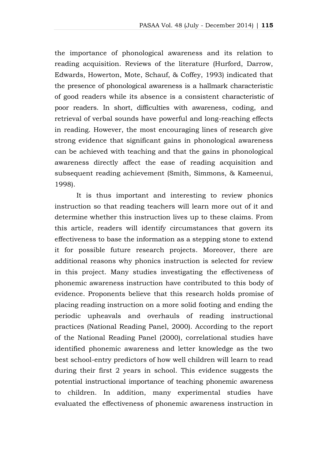the importance of phonological awareness and its relation to reading acquisition. Reviews of the literature (Hurford, Darrow, Edwards, Howerton, Mote, Schauf, & Coffey, 1993) indicated that the presence of phonological awareness is a hallmark characteristic of good readers while its absence is a consistent characteristic of poor readers. In short, difficulties with awareness, coding, and retrieval of verbal sounds have powerful and long-reaching effects in reading. However, the most encouraging lines of research give strong evidence that significant gains in phonological awareness can be achieved with teaching and that the gains in phonological awareness directly affect the ease of reading acquisition and subsequent reading achievement (Smith, Simmons, & Kameenui, 1998).

It is thus important and interesting to review phonics instruction so that reading teachers will learn more out of it and determine whether this instruction lives up to these claims. From this article, readers will identify circumstances that govern its effectiveness to base the information as a stepping stone to extend it for possible future research projects. Moreover, there are additional reasons why phonics instruction is selected for review in this project. Many studies investigating the effectiveness of phonemic awareness instruction have contributed to this body of evidence. Proponents believe that this research holds promise of placing reading instruction on a more solid footing and ending the periodic upheavals and overhauls of reading instructional practices (National Reading Panel, 2000). According to the report of the National Reading Panel (2000), correlational studies have identified phonemic awareness and letter knowledge as the two best school-entry predictors of how well children will learn to read during their first 2 years in school. This evidence suggests the potential instructional importance of teaching phonemic awareness to children. In addition, many experimental studies have evaluated the effectiveness of phonemic awareness instruction in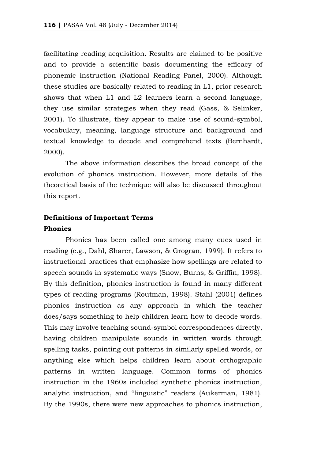facilitating reading acquisition. Results are claimed to be positive and to provide a scientific basis documenting the efficacy of phonemic instruction (National Reading Panel, 2000). Although these studies are basically related to reading in L1, prior research shows that when L1 and L2 learners learn a second language, they use similar strategies when they read (Gass, & Selinker, 2001). To illustrate, they appear to make use of sound-symbol, vocabulary, meaning, language structure and background and textual knowledge to decode and comprehend texts (Bernhardt, 2000).

The above information describes the broad concept of the evolution of phonics instruction. However, more details of the theoretical basis of the technique will also be discussed throughout this report.

## **Definitions of Important Terms**

#### **Phonics**

Phonics has been called one among many cues used in reading (e.g., Dahl, Sharer, Lawson, & Grogran, 1999). It refers to instructional practices that emphasize how spellings are related to speech sounds in systematic ways (Snow, Burns, & Griffin, 1998). By this definition, phonics instruction is found in many different types of reading programs (Routman, 1998). Stahl (2001) defines phonics instruction as any approach in which the teacher does/says something to help children learn how to decode words. This may involve teaching sound-symbol correspondences directly, having children manipulate sounds in written words through spelling tasks, pointing out patterns in similarly spelled words, or anything else which helps children learn about orthographic patterns in written language. Common forms of phonics instruction in the 1960s included synthetic phonics instruction, analytic instruction, and "linguistic" readers (Aukerman, 1981). By the 1990s, there were new approaches to phonics instruction,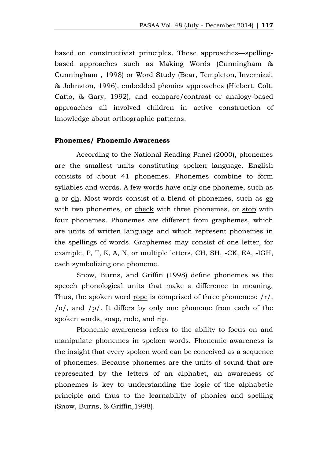based on constructivist principles. These approaches—spellingbased approaches such as Making Words (Cunningham & Cunningham , 1998) or Word Study (Bear, Templeton, Invernizzi, & Johnston, 1996), embedded phonics approaches (Hiebert, Colt, Catto, & Gary, 1992), and compare/contrast or analogy-based approaches—all involved children in active construction of knowledge about orthographic patterns.

## **Phonemes/ Phonemic Awareness**

According to the National Reading Panel (2000), phonemes are the smallest units constituting spoken language. English consists of about 41 phonemes. Phonemes combine to form syllables and words. A few words have only one phoneme, such as a or oh. Most words consist of a blend of phonemes, such as go with two phonemes, or check with three phonemes, or stop with four phonemes. Phonemes are different from graphemes, which are units of written language and which represent phonemes in the spellings of words. Graphemes may consist of one letter, for example, P, T, K, A, N, or multiple letters, CH, SH, -CK, EA, -IGH, each symbolizing one phoneme.

Snow, Burns, and Griffin (1998) define phonemes as the speech phonological units that make a difference to meaning. Thus, the spoken word <u>rope</u> is comprised of three phonemes:  $/r/$ , /o/, and /p/. It differs by only one phoneme from each of the spoken words, soap, rode, and rip.

Phonemic awareness refers to the ability to focus on and manipulate phonemes in spoken words. Phonemic awareness is the insight that every spoken word can be conceived as a sequence of phonemes. Because phonemes are the units of sound that are represented by the letters of an alphabet, an awareness of phonemes is key to understanding the logic of the alphabetic principle and thus to the learnability of phonics and spelling (Snow, Burns, & Griffin,1998).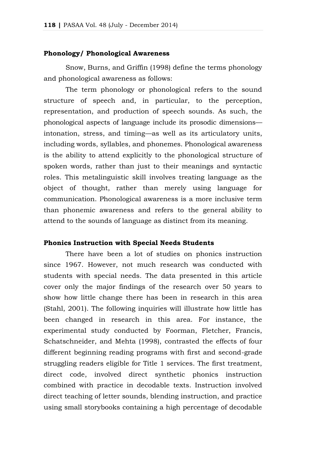### **Phonology/ Phonological Awareness**

Snow, Burns, and Griffin (1998) define the terms phonology and phonological awareness as follows:

The term phonology or phonological refers to the sound structure of speech and, in particular, to the perception, representation, and production of speech sounds. As such, the phonological aspects of language include its prosodic dimensions intonation, stress, and timing—as well as its articulatory units, including words, syllables, and phonemes. Phonological awareness is the ability to attend explicitly to the phonological structure of spoken words, rather than just to their meanings and syntactic roles. This metalinguistic skill involves treating language as the object of thought, rather than merely using language for communication. Phonological awareness is a more inclusive term than phonemic awareness and refers to the general ability to attend to the sounds of language as distinct from its meaning.

#### **Phonics Instruction with Special Needs Students**

There have been a lot of studies on phonics instruction since 1967. However, not much research was conducted with students with special needs. The data presented in this article cover only the major findings of the research over 50 years to show how little change there has been in research in this area (Stahl, 2001). The following inquiries will illustrate how little has been changed in research in this area. For instance, the experimental study conducted by Foorman, Fletcher, Francis, Schatschneider, and Mehta (1998), contrasted the effects of four different beginning reading programs with first and second-grade struggling readers eligible for Title 1 services. The first treatment, direct code, involved direct synthetic phonics instruction combined with practice in decodable texts. Instruction involved direct teaching of letter sounds, blending instruction, and practice using small storybooks containing a high percentage of decodable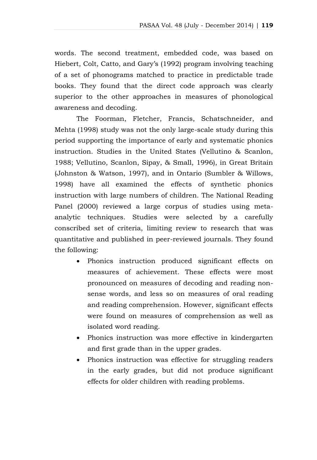words. The second treatment, embedded code, was based on Hiebert, Colt, Catto, and Gary's (1992) program involving teaching of a set of phonograms matched to practice in predictable trade books. They found that the direct code approach was clearly superior to the other approaches in measures of phonological awareness and decoding.

The Foorman, Fletcher, Francis, Schatschneider, and Mehta (1998) study was not the only large-scale study during this period supporting the importance of early and systematic phonics instruction. Studies in the United States (Vellutino & Scanlon, 1988; Vellutino, Scanlon, Sipay, & Small, 1996), in Great Britain (Johnston & Watson, 1997), and in Ontario (Sumbler & Willows, 1998) have all examined the effects of synthetic phonics instruction with large numbers of children. The National Reading Panel (2000) reviewed a large corpus of studies using metaanalytic techniques. Studies were selected by a carefully conscribed set of criteria, limiting review to research that was quantitative and published in peer-reviewed journals. They found the following:

- Phonics instruction produced significant effects on measures of achievement. These effects were most pronounced on measures of decoding and reading nonsense words, and less so on measures of oral reading and reading comprehension. However, significant effects were found on measures of comprehension as well as isolated word reading.
- Phonics instruction was more effective in kindergarten and first grade than in the upper grades.
- Phonics instruction was effective for struggling readers in the early grades, but did not produce significant effects for older children with reading problems.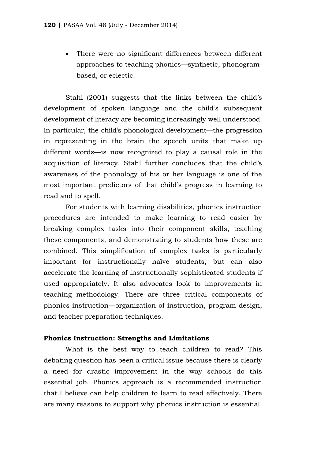There were no significant differences between different approaches to teaching phonics—synthetic, phonogrambased, or eclectic.

Stahl (2001) suggests that the links between the child's development of spoken language and the child's subsequent development of literacy are becoming increasingly well understood. In particular, the child's phonological development—the progression in representing in the brain the speech units that make up different words—is now recognized to play a causal role in the acquisition of literacy. Stahl further concludes that the child's awareness of the phonology of his or her language is one of the most important predictors of that child's progress in learning to read and to spell.

For students with learning disabilities, phonics instruction procedures are intended to make learning to read easier by breaking complex tasks into their component skills, teaching these components, and demonstrating to students how these are combined. This simplification of complex tasks is particularly important for instructionally naïve students, but can also accelerate the learning of instructionally sophisticated students if used appropriately. It also advocates look to improvements in teaching methodology. There are three critical components of phonics instruction—organization of instruction, program design, and teacher preparation techniques.

#### **Phonics Instruction: Strengths and Limitations**

What is the best way to teach children to read? This debating question has been a critical issue because there is clearly a need for drastic improvement in the way schools do this essential job. Phonics approach is a recommended instruction that I believe can help children to learn to read effectively. There are many reasons to support why phonics instruction is essential.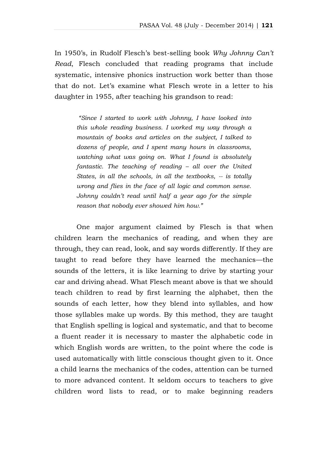In 1950's, in Rudolf Flesch's best-selling book *Why Johnny Can't Read*, Flesch concluded that reading programs that include systematic, intensive phonics instruction work better than those that do not. Let's examine what Flesch wrote in a letter to his daughter in 1955, after teaching his grandson to read:

*"Since I started to work with Johnny, I have looked into this whole reading business. I worked my way through a mountain of books and articles on the subject, I talked to dozens of people, and I spent many hours in classrooms, watching what was going on. What I found is absolutely fantastic. The teaching of reading – all over the United States, in all the schools, in all the textbooks, -- is totally wrong and flies in the face of all logic and common sense. Johnny couldn't read until half a year ago for the simple reason that nobody ever showed him how."* 

One major argument claimed by Flesch is that when children learn the mechanics of reading, and when they are through, they can read, look, and say words differently. If they are taught to read before they have learned the mechanics—the sounds of the letters, it is like learning to drive by starting your car and driving ahead. What Flesch meant above is that we should teach children to read by first learning the alphabet, then the sounds of each letter, how they blend into syllables, and how those syllables make up words. By this method, they are taught that English spelling is logical and systematic, and that to become a fluent reader it is necessary to master the alphabetic code in which English words are written, to the point where the code is used automatically with little conscious thought given to it. Once a child learns the mechanics of the codes, attention can be turned to more advanced content. It seldom occurs to teachers to give children word lists to read, or to make beginning readers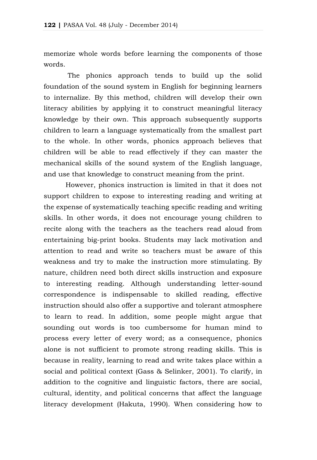memorize whole words before learning the components of those words.

The phonics approach tends to build up the solid foundation of the sound system in English for beginning learners to internalize. By this method, children will develop their own literacy abilities by applying it to construct meaningful literacy knowledge by their own. This approach subsequently supports children to learn a language systematically from the smallest part to the whole. In other words, phonics approach believes that children will be able to read effectively if they can master the mechanical skills of the sound system of the English language, and use that knowledge to construct meaning from the print.

However, phonics instruction is limited in that it does not support children to expose to interesting reading and writing at the expense of systematically teaching specific reading and writing skills. In other words, it does not encourage young children to recite along with the teachers as the teachers read aloud from entertaining big-print books. Students may lack motivation and attention to read and write so teachers must be aware of this weakness and try to make the instruction more stimulating. By nature, children need both direct skills instruction and exposure to interesting reading. Although understanding letter-sound correspondence is indispensable to skilled reading, effective instruction should also offer a supportive and tolerant atmosphere to learn to read. In addition, some people might argue that sounding out words is too cumbersome for human mind to process every letter of every word; as a consequence, phonics alone is not sufficient to promote strong reading skills. This is because in reality, learning to read and write takes place within a social and political context (Gass & Selinker, 2001). To clarify, in addition to the cognitive and linguistic factors, there are social, cultural, identity, and political concerns that affect the language literacy development (Hakuta, 1990). When considering how to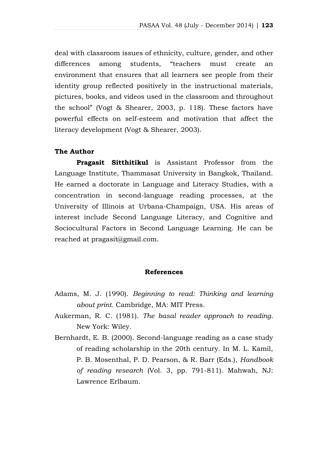deal with classroom issues of ethnicity, culture, gender, and other differences among students, "teachers must create an environment that ensures that all learners see people from their identity group reflected positively in the instructional materials, pictures, books, and videos used in the classroom and throughout the school" (Vogt & Shearer, 2003, p. 118). These factors have powerful effects on self-esteem and motivation that affect the literacy development (Vogt & Shearer, 2003).

## **The Author**

**Pragasit Sitthitikul** is Assistant Professor from the Language Institute, Thammasat University in Bangkok, Thailand. He earned a doctorate in Language and Literacy Studies, with a concentration in second-language reading processes, at the University of Illinois at Urbana-Champaign, USA. His areas of interest include Second Language Literacy, and Cognitive and Sociocultural Factors in Second Language Learning. He can be reached at [pragasit@gmail.com.](mailto:pragasit@gmail.com)

## **References**

- Adams, M. J. (1990). *Beginning to read: Thinking and learning about print.* Cambridge, MA: MIT Press.
- Aukerman, R. C. (1981). *The basal reader approach to reading*. New York: Wiley.
- Bernhardt, E. B. (2000). Second-language reading as a case study of reading scholarship in the 20th century. In M. L. Kamil, P. B. Mosenthal, P. D. Pearson, & R. Barr (Eds.), *Handbook of reading research* (Vol. 3, pp. 791-811). Mahwah, NJ: Lawrence Erlbaum.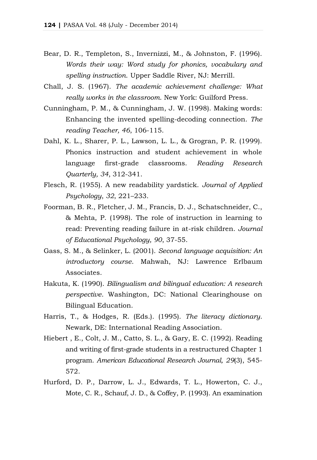- Bear, D. R., Templeton, S., Invernizzi, M., & Johnston, F. (1996). *Words their way: Word study for phonics, vocabulary and spelling instruction*. Upper Saddle River, NJ: Merrill.
- Chall, J. S. (1967). *The academic achievement challenge: What really works in the classroom*. New York: Guilford Press.
- Cunningham, P. M., & Cunningham, J. W. (1998). Making words: Enhancing the invented spelling-decoding connection. *The reading Teacher, 46*, 106-115.
- Dahl, K. L., Sharer, P. L., Lawson, L. L., & Grogran, P. R. (1999). Phonics instruction and student achievement in whole language first-grade classrooms. *Reading Research Quarterly, 34*, 312-341.
- Flesch, R. (1955). A new readability yardstick. *Journal of Applied Psychology*, *32*, 221–233.
- Foorman, B. R., Fletcher, J. M., Francis, D. J., Schatschneider, C., & Mehta, P. (1998). The role of instruction in learning to read: Preventing reading failure in at-risk children. *Journal of Educational Psychology, 90*, 37-55.
- Gass, S. M., & Selinker, L. (2001). *Second language acquisition: An introductory course*. Mahwah, NJ: Lawrence Erlbaum Associates.
- Hakuta, K. (1990). *Bilingualism and bilingual education: A research perspective*. Washington, DC: National Clearinghouse on Bilingual Education.
- Harris, T., & Hodges, R. (Eds.). (1995). *The literacy dictionary*. Newark, DE: International Reading Association.
- Hiebert , E., Colt, J. M., Catto, S. L., & Gary, E. C. (1992). Reading and writing of first-grade students in a restructured Chapter 1 program. *American Educational Research Journal, 29*(3), 545- 572.
- Hurford, D. P., Darrow, L. J., Edwards, T. L., Howerton, C. J., Mote, C. R., Schauf, J. D., & Coffey, P. (1993). An examination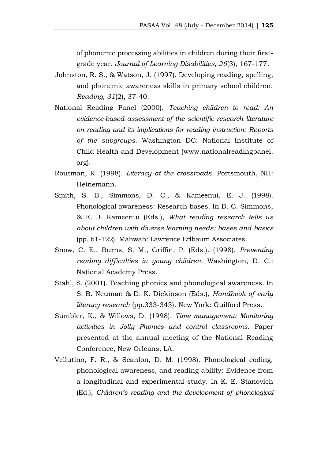of phonemic processing abilities in children during their firstgrade year. *Journal of Learning Disabilities, 26*(3), 167-177.

- Johnston, R. S., & Watson, J. (1997). Developing reading, spelling, and phonemic awareness skills in primary school children. *Reading, 31*(2), 37-40.
- National Reading Panel (2000). *Teaching children to read: An evidence-based assessment of the scientific research literature on reading and its implications for reading instruction: Reports of the subgroups*. Washington DC: National Institute of Child Health and Development [\(www.nationalreadingpanel.](http://www.nationalreadingpanel/) org).
- Routman, R. (1998). *Literacy at the crossroads*. Portsmouth, NH: Heinemann.
- Smith, S. B., Simmons, D. C., & Kameenui, E. J. (1998). Phonological awareness: Research bases. In D. C. Simmons, & E. J. Kameenui (Eds.), *What reading research tells us about children with diverse learning needs: bases and basics* (pp. 61-122). Mahwah: Lawrence Erlbaum Associates.
- Snow, C. E., Burns, S. M., Griffin, P. (Eds.). (1998). *Preventing reading difficulties in young children*. Washington, D. C.: National Academy Press.
- Stahl, S. (2001). Teaching phonics and phonological awareness. In S. B. Neuman & D. K. Dickinson (Eds.), *Handbook of early literacy research* (pp.333-343). New York: Guilford Press.
- Sumbler, K., & Willows, D. (1998). *Time management: Monitoring activities in Jolly Phonics and control classrooms*. Paper presented at the annual meeting of the National Reading Conference, New Orleans, LA.
- Vellutino, F. R., & Scanlon, D. M. (1998). Phonological coding, phonological awareness, and reading ability: Evidence from a longitudinal and experimental study. In K. E. Stanovich (Ed.), *Children's reading and the development of phonological*